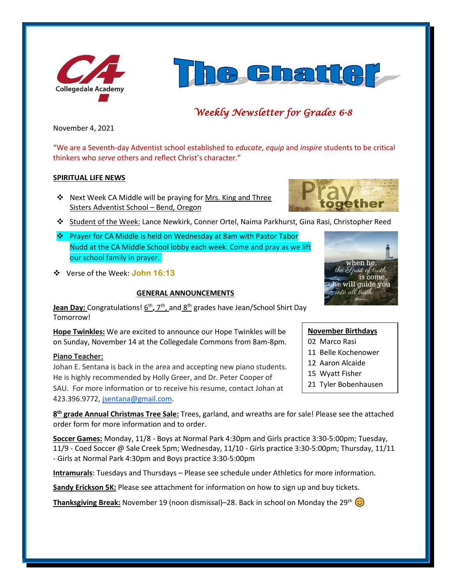



# *Weekly Newsletter for Grades 6-8*

November 4, 2021

"We are a Seventh-day Adventist school established to *educate*, *equip* and *inspire* students to be critical thinkers who *serve* others and reflect Christ's character."

#### **SPIRITUAL LIFE NEWS**

❖ Next Week CA Middle will be praying for Mrs. King and Three Sisters Adventist School – Bend, Oregon



- ❖ Prayer for CA Middle is held on Wednesday at 8am with Pastor Tabor Nudd at the CA Middle School lobby each week. Come and pray as we lift our school family in prayer.
- ❖ Verse of the Week: **John 16:13**

## **GENERAL ANNOUNCEMENTS**



**Jean Day:** Congratulations!  $\underline{6^{th}}$ , 7<sup>th</sup>, and  $\underline{8^{th}}$  grades have Jean/School Shirt Day Tomorrow!

**Hope Twinkles:** We are excited to announce our Hope Twinkles will be on Sunday, November 14 at the Collegedale Commons from 8am-8pm.

## **Piano Teacher:**

Johan E. Sentana is back in the area and accepting new piano students. He is highly recommended by Holly Greer, and Dr. Peter Cooper of SAU. For more information or to receive his resume, contact Johan at 423.396.9772, [jsentana@gmail.com.](mailto:jsentana@gmail.com)

**8 th grade Annual Christmas Tree Sale:** Trees, garland, and wreaths are for sale! Please see the attached order form for more information and to order.

**Soccer Games:** Monday, 11/8 - Boys at Normal Park 4:30pm and Girls practice 3:30-5:00pm; Tuesday, 11/9 - Coed Soccer @ Sale Creek 5pm; Wednesday, 11/10 - Girls practice 3:30-5:00pm; Thursday, 11/11 - Girls at Normal Park 4:30pm and Boys practice 3:30-5:00pm

**Intramurals**: Tuesdays and Thursdays – Please see schedule under Athletics for more information.

**Sandy Erickson 5K:** Please see attachment for information on how to sign up and buy tickets.

**Thanksgiving Break:** November 19 (noon dismissal)–28. Back in school on Monday the 29<sup>th</sup>  $\odot$ 

02 Marco Rasi 11 Belle Kochenower

**November Birthdays**

- 12 Aaron Alcaide
- 15 Wyatt Fisher
- 21 Tyler Bobenhausen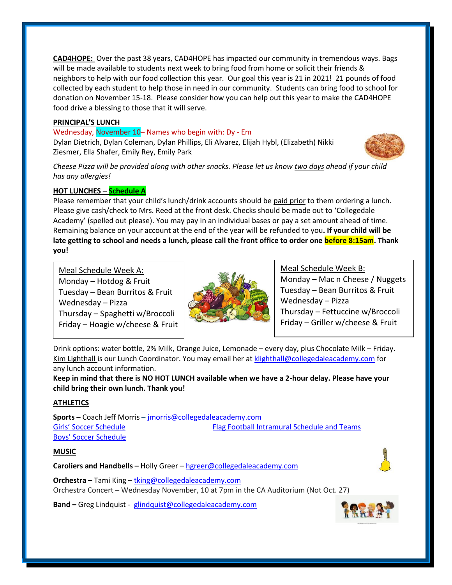**CAD4HOPE:** Over the past 38 years, CAD4HOPE has impacted our community in tremendous ways. Bags will be made available to students next week to bring food from home or solicit their friends & neighbors to help with our food collection this year. Our goal this year is 21 in 2021! 21 pounds of food collected by each student to help those in need in our community. Students can bring food to school for donation on November 15-18. Please consider how you can help out this year to make the CAD4HOPE food drive a blessing to those that it will serve.

## **PRINCIPAL'S LUNCH**

#### Wednesday, November 10– Names who begin with: Dy - Em

Dylan Dietrich, Dylan Coleman, Dylan Phillips, Eli Alvarez, Elijah Hybl, (Elizabeth) Nikki Ziesmer, Ella Shafer, Emily Rey, Emily Park



*Cheese Pizza will be provided along with other snacks. Please let us know two days ahead if your child has any allergies!*

# **HOT LUNCHES – Schedule A**

Please remember that your child's lunch/drink accounts should be paid prior to them ordering a lunch. Please give cash/check to Mrs. Reed at the front desk. Checks should be made out to 'Collegedale Academy' (spelled out please). You may pay in an individual bases or pay a set amount ahead of time. Remaining balance on your account at the end of the year will be refunded to you**. If your child will be late getting to school and needs a lunch, please call the front office to order one before 8:15am. Thank you!** 

Meal Schedule Week A: Monday – Hotdog  $&$  Fruit Tuesday – Bean Burritos & Fruit Wednesday – Pizza Thursday – Spaghetti w/Broccoli Friday – Hoagie w/cheese & Fruit



Meal Schedule Week B: Monday – Mac n Cheese / Nuggets Tuesday – Bean Burritos & Fruit Wednesday – Pizza Thursday – Fettuccine w/Broccoli Friday – Griller w/cheese & Fruit

Drink options: water bottle, 2% Milk, Orange Juice, Lemonade – every day, plus Chocolate Milk – Friday. Kim Lighthall is our Lunch Coordinator. You may email her at [klighthall@collegedaleacademy.com](mailto:klighthall@collegedaleacademy.com) for any lunch account information.

**Keep in mind that there is NO HOT LUNCH available when we have a 2-hour delay. Please have your child bring their own lunch. Thank you!**

# **ATHLETICS**

**Sports** – Coach Jeff Morris – [jmorris@collegedaleacademy.com](mailto:jmorris@collegedaleacademy.com) [Girls' Soccer Schedule](https://www.collegedaleacademy.com/wp-content/uploads/2021/10/Girls-2021-2022-Soccer-Schedule.pdf) **[Flag Football Intramural Schedule and Teams](https://www.collegedaleacademy.com/wp-content/uploads/2021/10/Flag-Football-Intramurals.pdf)** [Boys' Soccer Schedule](https://www.collegedaleacademy.com/wp-content/uploads/2021/10/Boys-2021-2022-Soccer-Schedule.pdf)

## **MUSIC**

**Caroliers and Handbells –** Holly Greer – [hgreer@collegedaleacademy.com](mailto:hgreer@collegedaleacademy.com)



**Orchestra –** Tami King – [tking@collegedaleacademy.com](mailto:tking@collegedaleacademy.com) Orchestra Concert – Wednesday November, 10 at 7pm in the CA Auditorium (Not Oct. 27)

**Band –** Greg Lindquist - [glindquist@collegedaleacademy.com](mailto:glindquist@collegedaleacademy.com)